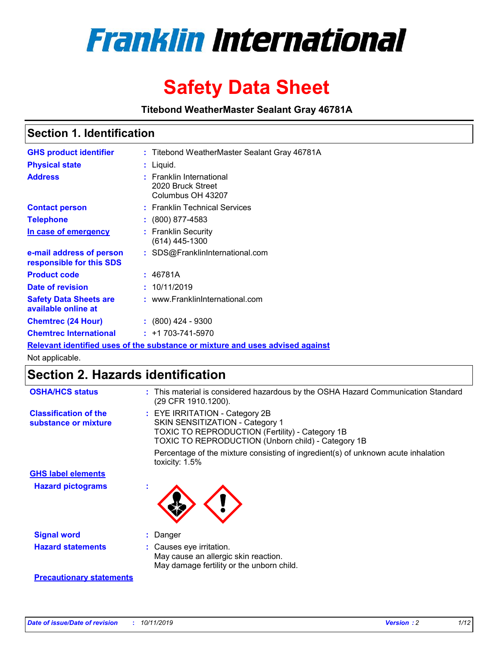

# **Safety Data Sheet**

**Titebond WeatherMaster Sealant Gray 46781A**

### **Section 1. Identification**

| <b>GHS product identifier</b>                        | : Titebond WeatherMaster Sealant Gray 46781A                                  |
|------------------------------------------------------|-------------------------------------------------------------------------------|
| <b>Physical state</b>                                | : Liquid.                                                                     |
| <b>Address</b>                                       | : Franklin International<br>2020 Bruck Street<br>Columbus OH 43207            |
| <b>Contact person</b>                                | : Franklin Technical Services                                                 |
| <b>Telephone</b>                                     | $\colon$ (800) 877-4583                                                       |
| In case of emergency                                 | : Franklin Security<br>(614) 445-1300                                         |
| e-mail address of person<br>responsible for this SDS | : SDS@FranklinInternational.com                                               |
| <b>Product code</b>                                  | : 46781A                                                                      |
| Date of revision                                     | : 10/11/2019                                                                  |
| <b>Safety Data Sheets are</b><br>available online at | : www.FranklinInternational.com                                               |
| <b>Chemtrec (24 Hour)</b>                            | $: (800)$ 424 - 9300                                                          |
| <b>Chemtrec International</b>                        | $: +1703 - 741 - 5970$                                                        |
|                                                      | Relevant identified uses of the substance or mixture and uses advised against |

Not applicable.

## **Section 2. Hazards identification**

| <b>OSHA/HCS status</b>                               | : This material is considered hazardous by the OSHA Hazard Communication Standard<br>(29 CFR 1910.1200).                                                                          |
|------------------------------------------------------|-----------------------------------------------------------------------------------------------------------------------------------------------------------------------------------|
| <b>Classification of the</b><br>substance or mixture | : EYE IRRITATION - Category 2B<br>SKIN SENSITIZATION - Category 1<br><b>TOXIC TO REPRODUCTION (Fertility) - Category 1B</b><br>TOXIC TO REPRODUCTION (Unborn child) - Category 1B |
|                                                      | Percentage of the mixture consisting of ingredient(s) of unknown acute inhalation<br>toxicity: $1.5\%$                                                                            |
| <b>GHS label elements</b>                            |                                                                                                                                                                                   |
| <b>Hazard pictograms</b>                             |                                                                                                                                                                                   |
| <b>Signal word</b>                                   | : Danger                                                                                                                                                                          |
| <b>Hazard statements</b>                             | : Causes eye irritation.<br>May cause an allergic skin reaction.<br>May damage fertility or the unborn child.                                                                     |
| <b>Precautionary statements</b>                      |                                                                                                                                                                                   |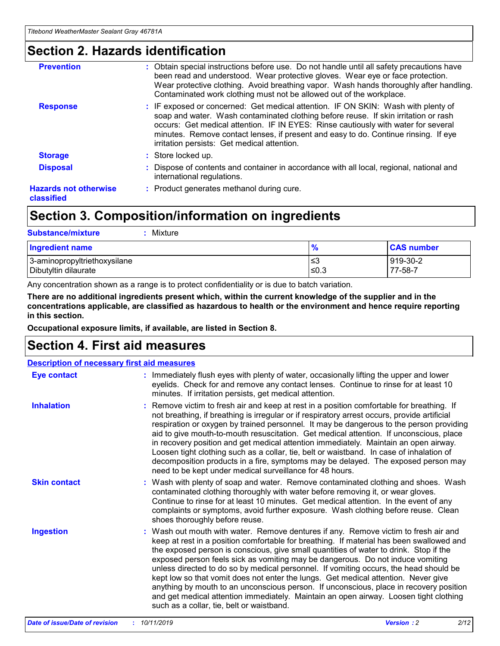### **Section 2. Hazards identification**

| <b>Prevention</b>                          | : Obtain special instructions before use. Do not handle until all safety precautions have<br>been read and understood. Wear protective gloves. Wear eye or face protection.<br>Wear protective clothing. Avoid breathing vapor. Wash hands thoroughly after handling.<br>Contaminated work clothing must not be allowed out of the workplace.                                                        |
|--------------------------------------------|------------------------------------------------------------------------------------------------------------------------------------------------------------------------------------------------------------------------------------------------------------------------------------------------------------------------------------------------------------------------------------------------------|
| <b>Response</b>                            | : IF exposed or concerned: Get medical attention. IF ON SKIN: Wash with plenty of<br>soap and water. Wash contaminated clothing before reuse. If skin irritation or rash<br>occurs: Get medical attention. IF IN EYES: Rinse cautiously with water for several<br>minutes. Remove contact lenses, if present and easy to do. Continue rinsing. If eye<br>irritation persists: Get medical attention. |
| <b>Storage</b>                             | : Store locked up.                                                                                                                                                                                                                                                                                                                                                                                   |
| <b>Disposal</b>                            | : Dispose of contents and container in accordance with all local, regional, national and<br>international regulations.                                                                                                                                                                                                                                                                               |
| <b>Hazards not otherwise</b><br>classified | : Product generates methanol during cure.                                                                                                                                                                                                                                                                                                                                                            |
|                                            |                                                                                                                                                                                                                                                                                                                                                                                                      |

## **Section 3. Composition/information on ingredients**

| <b>Substance/mixture</b><br>: Mixture                |               |                     |
|------------------------------------------------------|---------------|---------------------|
| Ingredient name                                      | $\frac{9}{6}$ | <b>CAS number</b>   |
| 3-aminopropyltriethoxysilane<br>Dibutyltin dilaurate | צ≥<br>≤0.3    | 919-30-2<br>77-58-7 |

Any concentration shown as a range is to protect confidentiality or is due to batch variation.

**There are no additional ingredients present which, within the current knowledge of the supplier and in the concentrations applicable, are classified as hazardous to health or the environment and hence require reporting in this section.**

**Occupational exposure limits, if available, are listed in Section 8.**

### **Section 4. First aid measures**

| <b>Description of necessary first aid measures</b> |                                                                                                                                                                                                                                                                                                                                                                                                                                                                                                                                                                                                                                                                                                                                                                           |  |  |  |
|----------------------------------------------------|---------------------------------------------------------------------------------------------------------------------------------------------------------------------------------------------------------------------------------------------------------------------------------------------------------------------------------------------------------------------------------------------------------------------------------------------------------------------------------------------------------------------------------------------------------------------------------------------------------------------------------------------------------------------------------------------------------------------------------------------------------------------------|--|--|--|
| <b>Eye contact</b>                                 | : Immediately flush eyes with plenty of water, occasionally lifting the upper and lower<br>eyelids. Check for and remove any contact lenses. Continue to rinse for at least 10<br>minutes. If irritation persists, get medical attention.                                                                                                                                                                                                                                                                                                                                                                                                                                                                                                                                 |  |  |  |
| <b>Inhalation</b>                                  | : Remove victim to fresh air and keep at rest in a position comfortable for breathing. If<br>not breathing, if breathing is irregular or if respiratory arrest occurs, provide artificial<br>respiration or oxygen by trained personnel. It may be dangerous to the person providing<br>aid to give mouth-to-mouth resuscitation. Get medical attention. If unconscious, place<br>in recovery position and get medical attention immediately. Maintain an open airway.<br>Loosen tight clothing such as a collar, tie, belt or waistband. In case of inhalation of<br>decomposition products in a fire, symptoms may be delayed. The exposed person may<br>need to be kept under medical surveillance for 48 hours.                                                       |  |  |  |
| <b>Skin contact</b>                                | : Wash with plenty of soap and water. Remove contaminated clothing and shoes. Wash<br>contaminated clothing thoroughly with water before removing it, or wear gloves.<br>Continue to rinse for at least 10 minutes. Get medical attention. In the event of any<br>complaints or symptoms, avoid further exposure. Wash clothing before reuse. Clean<br>shoes thoroughly before reuse.                                                                                                                                                                                                                                                                                                                                                                                     |  |  |  |
| <b>Ingestion</b>                                   | : Wash out mouth with water. Remove dentures if any. Remove victim to fresh air and<br>keep at rest in a position comfortable for breathing. If material has been swallowed and<br>the exposed person is conscious, give small quantities of water to drink. Stop if the<br>exposed person feels sick as vomiting may be dangerous. Do not induce vomiting<br>unless directed to do so by medical personnel. If vomiting occurs, the head should be<br>kept low so that vomit does not enter the lungs. Get medical attention. Never give<br>anything by mouth to an unconscious person. If unconscious, place in recovery position<br>and get medical attention immediately. Maintain an open airway. Loosen tight clothing<br>such as a collar, tie, belt or waistband. |  |  |  |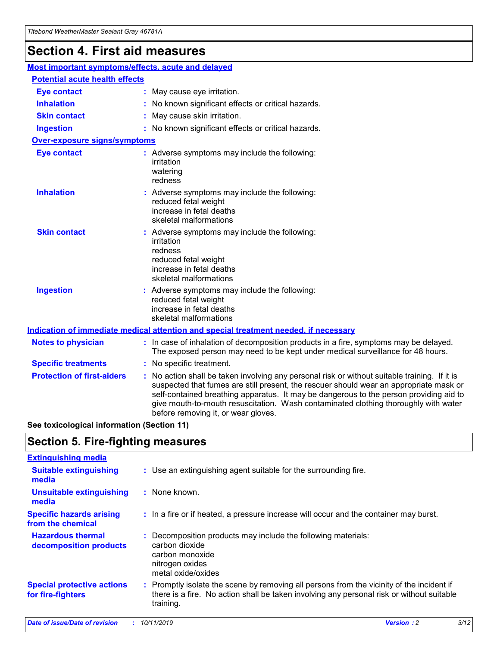## **Section 4. First aid measures**

| Most important symptoms/effects, acute and delayed |                                       |                                                                                                                                                                                                                                                                                                                                                                                                                 |  |  |  |
|----------------------------------------------------|---------------------------------------|-----------------------------------------------------------------------------------------------------------------------------------------------------------------------------------------------------------------------------------------------------------------------------------------------------------------------------------------------------------------------------------------------------------------|--|--|--|
|                                                    | <b>Potential acute health effects</b> |                                                                                                                                                                                                                                                                                                                                                                                                                 |  |  |  |
| <b>Eye contact</b>                                 |                                       | : May cause eye irritation.                                                                                                                                                                                                                                                                                                                                                                                     |  |  |  |
| <b>Inhalation</b>                                  |                                       | : No known significant effects or critical hazards.                                                                                                                                                                                                                                                                                                                                                             |  |  |  |
| <b>Skin contact</b>                                |                                       | : May cause skin irritation.                                                                                                                                                                                                                                                                                                                                                                                    |  |  |  |
| <b>Ingestion</b>                                   |                                       | : No known significant effects or critical hazards.                                                                                                                                                                                                                                                                                                                                                             |  |  |  |
| <b>Over-exposure signs/symptoms</b>                |                                       |                                                                                                                                                                                                                                                                                                                                                                                                                 |  |  |  |
| <b>Eye contact</b>                                 |                                       | : Adverse symptoms may include the following:<br>irritation<br>watering<br>redness                                                                                                                                                                                                                                                                                                                              |  |  |  |
| <b>Inhalation</b>                                  |                                       | : Adverse symptoms may include the following:<br>reduced fetal weight<br>increase in fetal deaths<br>skeletal malformations                                                                                                                                                                                                                                                                                     |  |  |  |
| <b>Skin contact</b>                                |                                       | : Adverse symptoms may include the following:<br>irritation<br>redness<br>reduced fetal weight<br>increase in fetal deaths<br>skeletal malformations                                                                                                                                                                                                                                                            |  |  |  |
| <b>Ingestion</b>                                   |                                       | : Adverse symptoms may include the following:<br>reduced fetal weight<br>increase in fetal deaths<br>skeletal malformations                                                                                                                                                                                                                                                                                     |  |  |  |
|                                                    |                                       | <b>Indication of immediate medical attention and special treatment needed, if necessary</b>                                                                                                                                                                                                                                                                                                                     |  |  |  |
| <b>Notes to physician</b>                          |                                       | : In case of inhalation of decomposition products in a fire, symptoms may be delayed.<br>The exposed person may need to be kept under medical surveillance for 48 hours.                                                                                                                                                                                                                                        |  |  |  |
| <b>Specific treatments</b>                         |                                       | : No specific treatment.                                                                                                                                                                                                                                                                                                                                                                                        |  |  |  |
| <b>Protection of first-aiders</b>                  |                                       | : No action shall be taken involving any personal risk or without suitable training. If it is<br>suspected that fumes are still present, the rescuer should wear an appropriate mask or<br>self-contained breathing apparatus. It may be dangerous to the person providing aid to<br>give mouth-to-mouth resuscitation. Wash contaminated clothing thoroughly with water<br>before removing it, or wear gloves. |  |  |  |

**See toxicological information (Section 11)**

### **Section 5. Fire-fighting measures**

| <b>Extinguishing media</b>                             |                                                                                                                                                                                                     |
|--------------------------------------------------------|-----------------------------------------------------------------------------------------------------------------------------------------------------------------------------------------------------|
| <b>Suitable extinguishing</b><br>media                 | : Use an extinguishing agent suitable for the surrounding fire.                                                                                                                                     |
| <b>Unsuitable extinguishing</b><br>media               | $:$ None known.                                                                                                                                                                                     |
| <b>Specific hazards arising</b><br>from the chemical   | : In a fire or if heated, a pressure increase will occur and the container may burst.                                                                                                               |
| <b>Hazardous thermal</b><br>decomposition products     | : Decomposition products may include the following materials:<br>carbon dioxide<br>carbon monoxide<br>nitrogen oxides<br>metal oxide/oxides                                                         |
| <b>Special protective actions</b><br>for fire-fighters | : Promptly isolate the scene by removing all persons from the vicinity of the incident if<br>there is a fire. No action shall be taken involving any personal risk or without suitable<br>training. |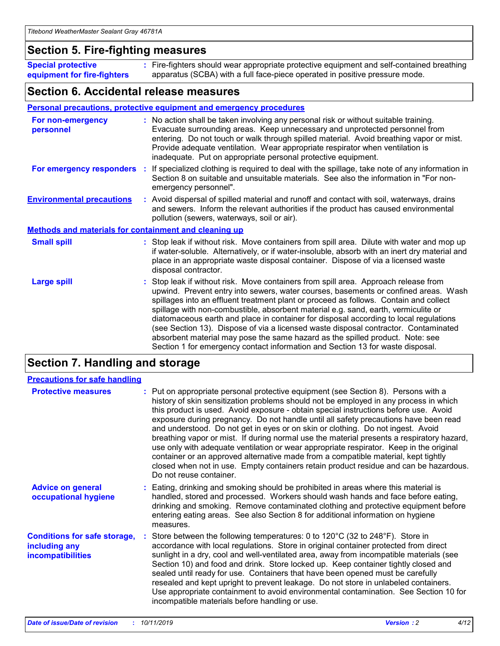### **Section 5. Fire-fighting measures**

**Special protective equipment for fire-fighters** Fire-fighters should wear appropriate protective equipment and self-contained breathing **:** apparatus (SCBA) with a full face-piece operated in positive pressure mode.

### **Section 6. Accidental release measures**

#### **Personal precautions, protective equipment and emergency procedures**

| For non-emergency<br>personnel                               | : No action shall be taken involving any personal risk or without suitable training.<br>Evacuate surrounding areas. Keep unnecessary and unprotected personnel from<br>entering. Do not touch or walk through spilled material. Avoid breathing vapor or mist.<br>Provide adequate ventilation. Wear appropriate respirator when ventilation is<br>inadequate. Put on appropriate personal protective equipment.                                                                                                                                                                                                                                                                                             |
|--------------------------------------------------------------|--------------------------------------------------------------------------------------------------------------------------------------------------------------------------------------------------------------------------------------------------------------------------------------------------------------------------------------------------------------------------------------------------------------------------------------------------------------------------------------------------------------------------------------------------------------------------------------------------------------------------------------------------------------------------------------------------------------|
|                                                              | For emergency responders : If specialized clothing is required to deal with the spillage, take note of any information in<br>Section 8 on suitable and unsuitable materials. See also the information in "For non-<br>emergency personnel".                                                                                                                                                                                                                                                                                                                                                                                                                                                                  |
| <b>Environmental precautions</b>                             | : Avoid dispersal of spilled material and runoff and contact with soil, waterways, drains<br>and sewers. Inform the relevant authorities if the product has caused environmental<br>pollution (sewers, waterways, soil or air).                                                                                                                                                                                                                                                                                                                                                                                                                                                                              |
| <b>Methods and materials for containment and cleaning up</b> |                                                                                                                                                                                                                                                                                                                                                                                                                                                                                                                                                                                                                                                                                                              |
| <b>Small spill</b>                                           | : Stop leak if without risk. Move containers from spill area. Dilute with water and mop up<br>if water-soluble. Alternatively, or if water-insoluble, absorb with an inert dry material and<br>place in an appropriate waste disposal container. Dispose of via a licensed waste<br>disposal contractor.                                                                                                                                                                                                                                                                                                                                                                                                     |
| <b>Large spill</b>                                           | : Stop leak if without risk. Move containers from spill area. Approach release from<br>upwind. Prevent entry into sewers, water courses, basements or confined areas. Wash<br>spillages into an effluent treatment plant or proceed as follows. Contain and collect<br>spillage with non-combustible, absorbent material e.g. sand, earth, vermiculite or<br>diatomaceous earth and place in container for disposal according to local regulations<br>(see Section 13). Dispose of via a licensed waste disposal contractor. Contaminated<br>absorbent material may pose the same hazard as the spilled product. Note: see<br>Section 1 for emergency contact information and Section 13 for waste disposal. |

### **Section 7. Handling and storage**

| <b>Precautions for safe handling</b>                                             |                                                                                                                                                                                                                                                                                                                                                                                                                                                                                                                                                                                                                                                                                                                                                                                                                                                  |
|----------------------------------------------------------------------------------|--------------------------------------------------------------------------------------------------------------------------------------------------------------------------------------------------------------------------------------------------------------------------------------------------------------------------------------------------------------------------------------------------------------------------------------------------------------------------------------------------------------------------------------------------------------------------------------------------------------------------------------------------------------------------------------------------------------------------------------------------------------------------------------------------------------------------------------------------|
| <b>Protective measures</b>                                                       | : Put on appropriate personal protective equipment (see Section 8). Persons with a<br>history of skin sensitization problems should not be employed in any process in which<br>this product is used. Avoid exposure - obtain special instructions before use. Avoid<br>exposure during pregnancy. Do not handle until all safety precautions have been read<br>and understood. Do not get in eyes or on skin or clothing. Do not ingest. Avoid<br>breathing vapor or mist. If during normal use the material presents a respiratory hazard,<br>use only with adequate ventilation or wear appropriate respirator. Keep in the original<br>container or an approved alternative made from a compatible material, kept tightly<br>closed when not in use. Empty containers retain product residue and can be hazardous.<br>Do not reuse container. |
| <b>Advice on general</b><br>occupational hygiene                                 | : Eating, drinking and smoking should be prohibited in areas where this material is<br>handled, stored and processed. Workers should wash hands and face before eating,<br>drinking and smoking. Remove contaminated clothing and protective equipment before<br>entering eating areas. See also Section 8 for additional information on hygiene<br>measures.                                                                                                                                                                                                                                                                                                                                                                                                                                                                                    |
| <b>Conditions for safe storage,</b><br>including any<br><b>incompatibilities</b> | Store between the following temperatures: 0 to $120^{\circ}$ C (32 to $248^{\circ}$ F). Store in<br>accordance with local regulations. Store in original container protected from direct<br>sunlight in a dry, cool and well-ventilated area, away from incompatible materials (see<br>Section 10) and food and drink. Store locked up. Keep container tightly closed and<br>sealed until ready for use. Containers that have been opened must be carefully<br>resealed and kept upright to prevent leakage. Do not store in unlabeled containers.<br>Use appropriate containment to avoid environmental contamination. See Section 10 for<br>incompatible materials before handling or use.                                                                                                                                                     |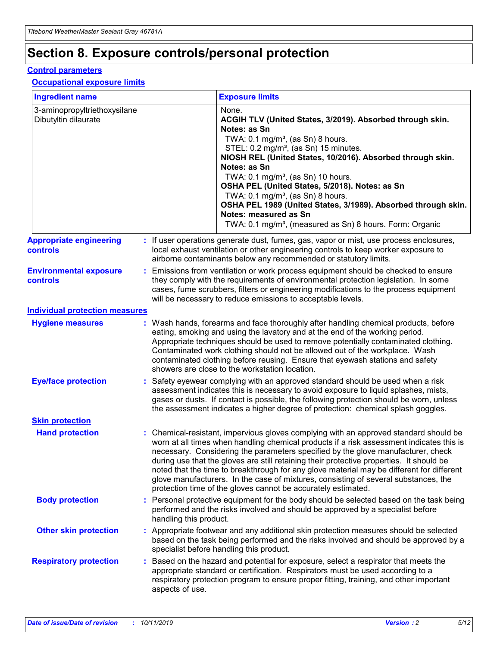## **Section 8. Exposure controls/personal protection**

#### **Control parameters**

#### **Occupational exposure limits**

| <b>Ingredient name</b>                               |    |                        | <b>Exposure limits</b>                                                                                                                                                                                                                                                                                                                                                                                                                                                                                                                                                                                                 |
|------------------------------------------------------|----|------------------------|------------------------------------------------------------------------------------------------------------------------------------------------------------------------------------------------------------------------------------------------------------------------------------------------------------------------------------------------------------------------------------------------------------------------------------------------------------------------------------------------------------------------------------------------------------------------------------------------------------------------|
| 3-aminopropyltriethoxysilane<br>Dibutyltin dilaurate |    |                        | None.<br>ACGIH TLV (United States, 3/2019). Absorbed through skin.<br>Notes: as Sn<br>TWA: $0.1 \text{ mg/m}^3$ , (as Sn) 8 hours.<br>STEL: 0.2 mg/m <sup>3</sup> , (as Sn) 15 minutes.<br>NIOSH REL (United States, 10/2016). Absorbed through skin.<br>Notes: as Sn<br>TWA: 0.1 mg/m <sup>3</sup> , (as Sn) 10 hours.<br>OSHA PEL (United States, 5/2018). Notes: as Sn<br>TWA: $0.1 \text{ mg/m}^3$ , (as Sn) 8 hours.<br>OSHA PEL 1989 (United States, 3/1989). Absorbed through skin.<br>Notes: measured as Sn<br>TWA: 0.1 mg/m <sup>3</sup> , (measured as Sn) 8 hours. Form: Organic                            |
| <b>Appropriate engineering</b><br>controls           |    |                        | : If user operations generate dust, fumes, gas, vapor or mist, use process enclosures,<br>local exhaust ventilation or other engineering controls to keep worker exposure to<br>airborne contaminants below any recommended or statutory limits.                                                                                                                                                                                                                                                                                                                                                                       |
| <b>Environmental exposure</b><br>controls            |    |                        | Emissions from ventilation or work process equipment should be checked to ensure<br>they comply with the requirements of environmental protection legislation. In some<br>cases, fume scrubbers, filters or engineering modifications to the process equipment<br>will be necessary to reduce emissions to acceptable levels.                                                                                                                                                                                                                                                                                          |
| <b>Individual protection measures</b>                |    |                        |                                                                                                                                                                                                                                                                                                                                                                                                                                                                                                                                                                                                                        |
| <b>Hygiene measures</b>                              |    |                        | : Wash hands, forearms and face thoroughly after handling chemical products, before<br>eating, smoking and using the lavatory and at the end of the working period.<br>Appropriate techniques should be used to remove potentially contaminated clothing.<br>Contaminated work clothing should not be allowed out of the workplace. Wash<br>contaminated clothing before reusing. Ensure that eyewash stations and safety<br>showers are close to the workstation location.                                                                                                                                            |
| <b>Eye/face protection</b>                           |    |                        | : Safety eyewear complying with an approved standard should be used when a risk<br>assessment indicates this is necessary to avoid exposure to liquid splashes, mists,<br>gases or dusts. If contact is possible, the following protection should be worn, unless<br>the assessment indicates a higher degree of protection: chemical splash goggles.                                                                                                                                                                                                                                                                  |
| <b>Skin protection</b>                               |    |                        |                                                                                                                                                                                                                                                                                                                                                                                                                                                                                                                                                                                                                        |
| <b>Hand protection</b>                               |    |                        | : Chemical-resistant, impervious gloves complying with an approved standard should be<br>worn at all times when handling chemical products if a risk assessment indicates this is<br>necessary. Considering the parameters specified by the glove manufacturer, check<br>during use that the gloves are still retaining their protective properties. It should be<br>noted that the time to breakthrough for any glove material may be different for different<br>glove manufacturers. In the case of mixtures, consisting of several substances, the<br>protection time of the gloves cannot be accurately estimated. |
| <b>Body protection</b>                               |    | handling this product. | Personal protective equipment for the body should be selected based on the task being<br>performed and the risks involved and should be approved by a specialist before                                                                                                                                                                                                                                                                                                                                                                                                                                                |
| <b>Other skin protection</b>                         |    |                        | : Appropriate footwear and any additional skin protection measures should be selected<br>based on the task being performed and the risks involved and should be approved by a<br>specialist before handling this product.                                                                                                                                                                                                                                                                                                                                                                                              |
| <b>Respiratory protection</b>                        | ÷. | aspects of use.        | Based on the hazard and potential for exposure, select a respirator that meets the<br>appropriate standard or certification. Respirators must be used according to a<br>respiratory protection program to ensure proper fitting, training, and other important                                                                                                                                                                                                                                                                                                                                                         |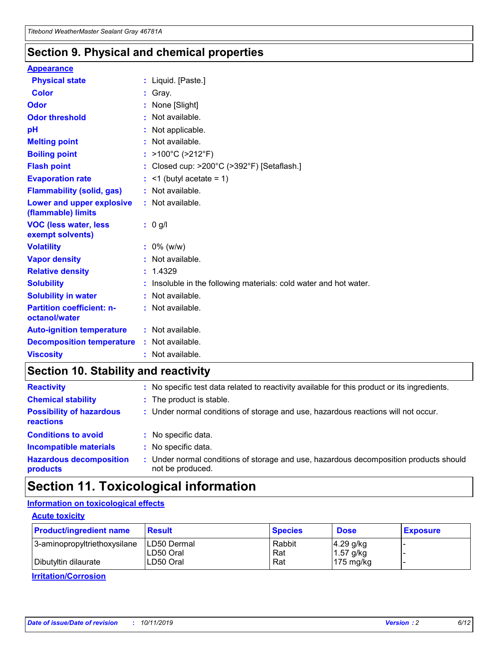### **Section 9. Physical and chemical properties**

#### **Appearance**

| <b>Physical state</b>                             | : Liquid. [Paste.]                                                |
|---------------------------------------------------|-------------------------------------------------------------------|
| Color                                             | Gray.                                                             |
| Odor                                              | None [Slight]                                                     |
| <b>Odor threshold</b>                             | : Not available.                                                  |
| рH                                                | : Not applicable.                                                 |
| <b>Melting point</b>                              | : Not available.                                                  |
| <b>Boiling point</b>                              | : $>100^{\circ}$ C ( $>212^{\circ}$ F)                            |
| <b>Flash point</b>                                | : Closed cup: $>200^{\circ}$ C ( $>392^{\circ}$ F) [Setaflash.]   |
| <b>Evaporation rate</b>                           | $:$ <1 (butyl acetate = 1)                                        |
| <b>Flammability (solid, gas)</b>                  | : Not available.                                                  |
| Lower and upper explosive<br>(flammable) limits   | : Not available.                                                  |
| <b>VOC (less water, less</b><br>exempt solvents)  | $: 0$ g/l                                                         |
| <b>Volatility</b>                                 | $: 0\%$ (w/w)                                                     |
| <b>Vapor density</b>                              | : Not available.                                                  |
| <b>Relative density</b>                           | : 1.4329                                                          |
| <b>Solubility</b>                                 | : Insoluble in the following materials: cold water and hot water. |
| <b>Solubility in water</b>                        | : Not available.                                                  |
| <b>Partition coefficient: n-</b><br>octanol/water | : Not available.                                                  |
| <b>Auto-ignition temperature</b>                  | $:$ Not available.                                                |
| <b>Decomposition temperature</b>                  | : Not available.                                                  |
| <b>Viscosity</b>                                  | : Not available.                                                  |

### **Section 10. Stability and reactivity**

| <b>Reactivity</b>                            |    | : No specific test data related to reactivity available for this product or its ingredients.            |
|----------------------------------------------|----|---------------------------------------------------------------------------------------------------------|
| <b>Chemical stability</b>                    |    | : The product is stable.                                                                                |
| <b>Possibility of hazardous</b><br>reactions |    | : Under normal conditions of storage and use, hazardous reactions will not occur.                       |
| <b>Conditions to avoid</b>                   |    | : No specific data.                                                                                     |
| <b>Incompatible materials</b>                | ٠. | No specific data.                                                                                       |
| <b>Hazardous decomposition</b><br>products   | ÷. | Under normal conditions of storage and use, hazardous decomposition products should<br>not be produced. |

## **Section 11. Toxicological information**

### **Information on toxicological effects**

#### **Acute toxicity**

| <b>Product/ingredient name</b> | <b>Result</b>           | <b>Species</b> | <b>Dose</b>                | <b>Exposure</b> |
|--------------------------------|-------------------------|----------------|----------------------------|-----------------|
| 3-aminopropyltriethoxysilane   | <b>ILD50 Dermal</b>     | Rabbit         | 4.29 g/kg                  |                 |
| Dibutyltin dilaurate           | ILD50 Oral<br>LD50 Oral | Rat<br>Rat     | $1.57$ g/kg<br>175 $mg/kg$ |                 |
|                                |                         |                |                            |                 |

**Irritation/Corrosion**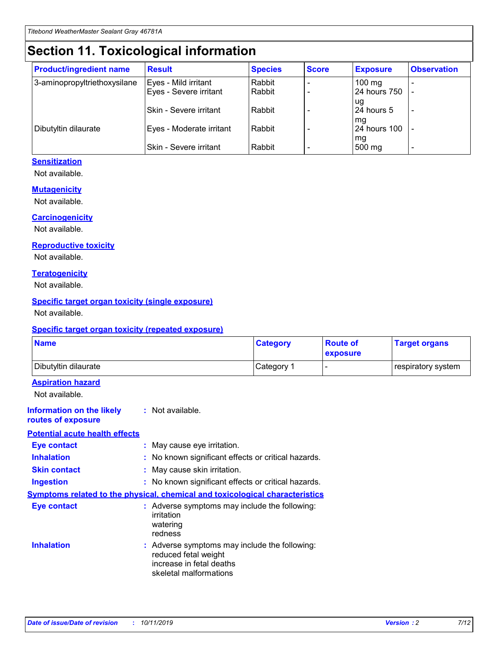## **Section 11. Toxicological information**

| <b>Product/ingredient name</b> | <b>Result</b>            | <b>Species</b> | <b>Score</b> | <b>Exposure</b>           | <b>Observation</b> |
|--------------------------------|--------------------------|----------------|--------------|---------------------------|--------------------|
| 3-aminopropyltriethoxysilane   | Eyes - Mild irritant     | Rabbit         |              | $100$ mg                  |                    |
|                                | Eyes - Severe irritant   | Rabbit         |              | 24 hours 750              |                    |
|                                |                          |                |              | ug                        |                    |
|                                | Skin - Severe irritant   | Rabbit         |              | 24 hours 5                | -                  |
| Dibutyltin dilaurate           | Eyes - Moderate irritant | Rabbit         |              | mq<br><b>24 hours 100</b> |                    |
|                                |                          |                |              | mg                        |                    |
|                                | Skin - Severe irritant   | Rabbit         |              | 500 mg                    |                    |

#### **Sensitization**

Not available.

#### **Mutagenicity**

Not available.

#### **Carcinogenicity**

Not available.

#### **Reproductive toxicity**

Not available.

#### **Teratogenicity**

Not available.

#### **Specific target organ toxicity (single exposure)**

Not available.

#### **Specific target organ toxicity (repeated exposure)**

| <b>Name</b>                                                                  |                                                                                                                             | <b>Category</b> | <b>Route of</b><br>exposure | <b>Target organs</b> |
|------------------------------------------------------------------------------|-----------------------------------------------------------------------------------------------------------------------------|-----------------|-----------------------------|----------------------|
| Dibutyltin dilaurate                                                         |                                                                                                                             | Category 1      |                             | respiratory system   |
| <b>Aspiration hazard</b><br>Not available.                                   |                                                                                                                             |                 |                             |                      |
| <b>Information on the likely</b><br>routes of exposure                       | : Not available.                                                                                                            |                 |                             |                      |
| <b>Potential acute health effects</b>                                        |                                                                                                                             |                 |                             |                      |
| <b>Eye contact</b>                                                           | : May cause eye irritation.                                                                                                 |                 |                             |                      |
| <b>Inhalation</b>                                                            | : No known significant effects or critical hazards.                                                                         |                 |                             |                      |
| <b>Skin contact</b>                                                          | : May cause skin irritation.                                                                                                |                 |                             |                      |
| <b>Ingestion</b>                                                             | : No known significant effects or critical hazards.                                                                         |                 |                             |                      |
| Symptoms related to the physical, chemical and toxicological characteristics |                                                                                                                             |                 |                             |                      |
| <b>Eye contact</b>                                                           | : Adverse symptoms may include the following:<br>irritation<br>watering<br>redness                                          |                 |                             |                      |
| <b>Inhalation</b>                                                            | : Adverse symptoms may include the following:<br>reduced fetal weight<br>increase in fetal deaths<br>skeletal malformations |                 |                             |                      |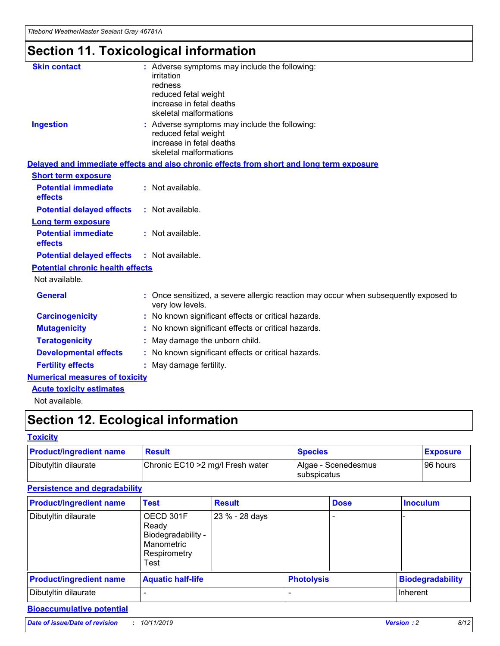# **Section 11. Toxicological information**

| <b>Skin contact</b>                     | : Adverse symptoms may include the following:<br>irritation<br>redness<br>reduced fetal weight<br>increase in fetal deaths<br>skeletal malformations |
|-----------------------------------------|------------------------------------------------------------------------------------------------------------------------------------------------------|
| <b>Ingestion</b>                        | : Adverse symptoms may include the following:<br>reduced fetal weight<br>increase in fetal deaths<br>skeletal malformations                          |
|                                         | Delayed and immediate effects and also chronic effects from short and long term exposure                                                             |
| <b>Short term exposure</b>              |                                                                                                                                                      |
| <b>Potential immediate</b><br>effects   | : Not available.                                                                                                                                     |
| <b>Potential delayed effects</b>        | : Not available.                                                                                                                                     |
| <b>Long term exposure</b>               |                                                                                                                                                      |
| <b>Potential immediate</b><br>effects   | : Not available.                                                                                                                                     |
| <b>Potential delayed effects</b>        | : Not available.                                                                                                                                     |
| <b>Potential chronic health effects</b> |                                                                                                                                                      |
| Not available.                          |                                                                                                                                                      |
| <b>General</b>                          | : Once sensitized, a severe allergic reaction may occur when subsequently exposed to<br>very low levels.                                             |
| <b>Carcinogenicity</b>                  | : No known significant effects or critical hazards.                                                                                                  |
| <b>Mutagenicity</b>                     | No known significant effects or critical hazards.                                                                                                    |
| <b>Teratogenicity</b>                   | May damage the unborn child.                                                                                                                         |
| <b>Developmental effects</b>            | No known significant effects or critical hazards.                                                                                                    |
| <b>Fertility effects</b>                | : May damage fertility.                                                                                                                              |
| <b>Numerical measures of toxicity</b>   |                                                                                                                                                      |
| <b>Acute toxicity estimates</b>         |                                                                                                                                                      |
|                                         |                                                                                                                                                      |

Not available.

## **Section 12. Ecological information**

#### **Toxicity**

| <b>Product/ingredient name</b> | <b>Result</b>                     | <b>Species</b>                       | <b>Exposure</b> |
|--------------------------------|-----------------------------------|--------------------------------------|-----------------|
| Dibutyltin dilaurate           | Chronic EC10 > 2 mg/l Fresh water | Algae - Scenedesmus<br>I subspicatus | l 96 hours i    |

#### **Persistence and degradability**

| <b>Product/ingredient name</b> | Test                                                                           | <b>Result</b>  |                   | <b>Dose</b> | <b>Inoculum</b>         |
|--------------------------------|--------------------------------------------------------------------------------|----------------|-------------------|-------------|-------------------------|
| Dibutyltin dilaurate           | OECD 301F<br>Ready<br>Biodegradability -<br>Manometric<br>Respirometry<br>Test | 23 % - 28 days |                   |             |                         |
| <b>Product/ingredient name</b> | <b>Aquatic half-life</b>                                                       |                | <b>Photolysis</b> |             | <b>Biodegradability</b> |
| Dibutyltin dilaurate           |                                                                                |                |                   |             | Inherent                |

### **Bioaccumulative potential**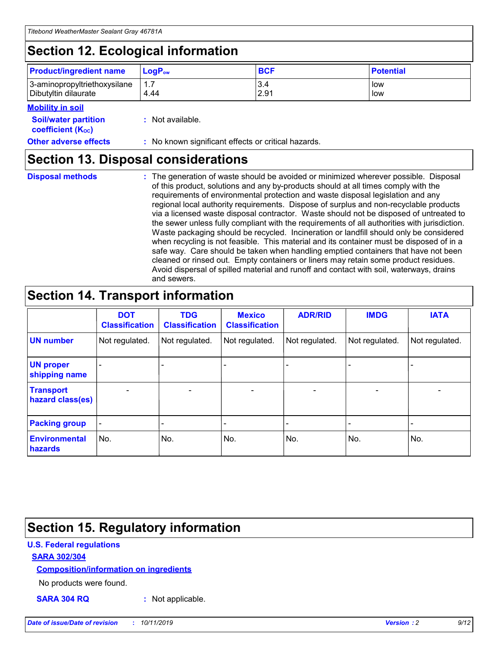## **Section 12. Ecological information**

| <b>Product/ingredient name</b> | $LoaPow$ | <b>BCF</b> | <b>Potential</b> |
|--------------------------------|----------|------------|------------------|
| 3-aminopropyltriethoxysilane   | 1.7      | 3.4        | low              |
| Dibutyltin dilaurate           | 4.44     | 2.91       | low              |

#### **Mobility in soil**

| <b>Soil/water partition</b><br>coefficient (K <sub>oc</sub> ) | : Not available.                                    |
|---------------------------------------------------------------|-----------------------------------------------------|
| <b>Other adverse effects</b>                                  | : No known significant effects or critical hazards. |

### **Section 13. Disposal considerations**

**Disposal methods :**

The generation of waste should be avoided or minimized wherever possible. Disposal of this product, solutions and any by-products should at all times comply with the requirements of environmental protection and waste disposal legislation and any regional local authority requirements. Dispose of surplus and non-recyclable products via a licensed waste disposal contractor. Waste should not be disposed of untreated to the sewer unless fully compliant with the requirements of all authorities with jurisdiction. Waste packaging should be recycled. Incineration or landfill should only be considered when recycling is not feasible. This material and its container must be disposed of in a safe way. Care should be taken when handling emptied containers that have not been cleaned or rinsed out. Empty containers or liners may retain some product residues. Avoid dispersal of spilled material and runoff and contact with soil, waterways, drains and sewers.

## **Section 14. Transport information**

|                                      | <b>DOT</b><br><b>Classification</b> | <b>TDG</b><br><b>Classification</b> | <b>Mexico</b><br><b>Classification</b> | <b>ADR/RID</b> | <b>IMDG</b>              | <b>IATA</b>              |
|--------------------------------------|-------------------------------------|-------------------------------------|----------------------------------------|----------------|--------------------------|--------------------------|
| <b>UN number</b>                     | Not regulated.                      | Not regulated.                      | Not regulated.                         | Not regulated. | Not regulated.           | Not regulated.           |
| <b>UN proper</b><br>shipping name    | $\blacksquare$                      |                                     |                                        |                |                          |                          |
| <b>Transport</b><br>hazard class(es) | $\blacksquare$                      | $\overline{\phantom{a}}$            | $\blacksquare$                         | $\blacksquare$ | $\overline{\phantom{a}}$ | $\overline{\phantom{0}}$ |
| <b>Packing group</b>                 | $\overline{\phantom{a}}$            | $\overline{\phantom{0}}$            | $\overline{\phantom{a}}$               | -              | $\overline{\phantom{0}}$ | $\overline{\phantom{a}}$ |
| <b>Environmental</b><br>hazards      | No.                                 | No.                                 | No.                                    | No.            | No.                      | No.                      |

## **Section 15. Regulatory information**

#### **U.S. Federal regulations**

#### **SARA 302/304**

#### **Composition/information on ingredients**

No products were found.

**SARA 304 RQ :** Not applicable.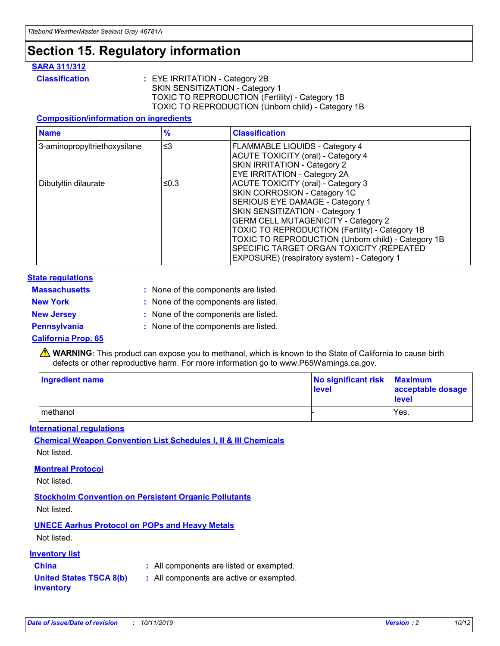## **Section 15. Regulatory information**

#### **SARA 311/312**

**Classification :** EYE IRRITATION - Category 2B SKIN SENSITIZATION - Category 1 TOXIC TO REPRODUCTION (Fertility) - Category 1B TOXIC TO REPRODUCTION (Unborn child) - Category 1B

#### **Composition/information on ingredients**

| <b>Name</b>                  | $\frac{9}{6}$ | <b>Classification</b>                                                                                            |
|------------------------------|---------------|------------------------------------------------------------------------------------------------------------------|
| 3-aminopropyltriethoxysilane | $\leq$ 3      | <b>FLAMMABLE LIQUIDS - Category 4</b><br><b>ACUTE TOXICITY (oral) - Category 4</b>                               |
|                              |               | SKIN IRRITATION - Category 2<br>EYE IRRITATION - Category 2A                                                     |
| Dibutyltin dilaurate         | ≤0.3          | ACUTE TOXICITY (oral) - Category 3<br>SKIN CORROSION - Category 1C                                               |
|                              |               | SERIOUS EYE DAMAGE - Category 1<br>SKIN SENSITIZATION - Category 1<br><b>GERM CELL MUTAGENICITY - Category 2</b> |
|                              |               | TOXIC TO REPRODUCTION (Fertility) - Category 1B<br>TOXIC TO REPRODUCTION (Unborn child) - Category 1B            |
|                              |               | SPECIFIC TARGET ORGAN TOXICITY (REPEATED<br>EXPOSURE) (respiratory system) - Category 1                          |

#### **State regulations**

| <b>Massachusetts</b> | : None of the components are listed. |
|----------------------|--------------------------------------|
| <b>New York</b>      | : None of the components are listed. |
| <b>New Jersey</b>    | : None of the components are listed. |
| Pennsylvania         | : None of the components are listed. |

#### **California Prop. 65**

**A** WARNING: This product can expose you to methanol, which is known to the State of California to cause birth defects or other reproductive harm. For more information go to www.P65Warnings.ca.gov.

| <b>Ingredient name</b> | No significant risk Maximum<br>level | acceptable dosage<br>level |
|------------------------|--------------------------------------|----------------------------|
| methanol               |                                      | Yes.                       |

#### **International regulations**

**Chemical Weapon Convention List Schedules I, II & III Chemicals** Not listed.

#### **Montreal Protocol**

Not listed.

**Stockholm Convention on Persistent Organic Pollutants**

Not listed.

### **UNECE Aarhus Protocol on POPs and Heavy Metals**

Not listed.

#### **Inventory list**

### **China :** All components are listed or exempted.

**United States TSCA 8(b) inventory :** All components are active or exempted.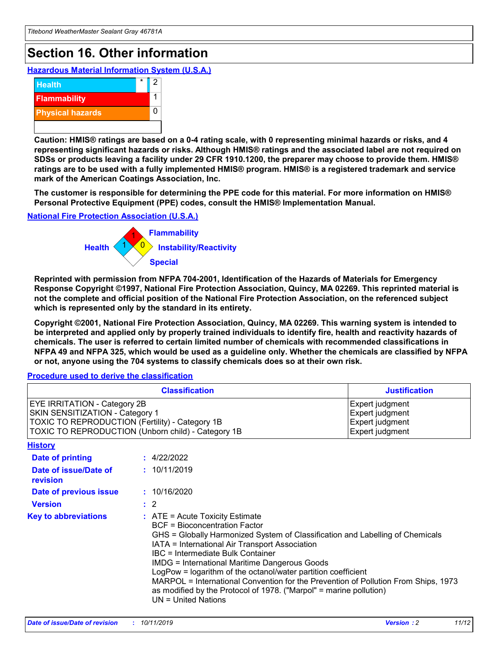## **Section 16. Other information**

**Hazardous Material Information System (U.S.A.)**



**Caution: HMIS® ratings are based on a 0-4 rating scale, with 0 representing minimal hazards or risks, and 4 representing significant hazards or risks. Although HMIS® ratings and the associated label are not required on SDSs or products leaving a facility under 29 CFR 1910.1200, the preparer may choose to provide them. HMIS® ratings are to be used with a fully implemented HMIS® program. HMIS® is a registered trademark and service mark of the American Coatings Association, Inc.**

**The customer is responsible for determining the PPE code for this material. For more information on HMIS® Personal Protective Equipment (PPE) codes, consult the HMIS® Implementation Manual.**

#### **National Fire Protection Association (U.S.A.)**



**Reprinted with permission from NFPA 704-2001, Identification of the Hazards of Materials for Emergency Response Copyright ©1997, National Fire Protection Association, Quincy, MA 02269. This reprinted material is not the complete and official position of the National Fire Protection Association, on the referenced subject which is represented only by the standard in its entirety.**

**Copyright ©2001, National Fire Protection Association, Quincy, MA 02269. This warning system is intended to be interpreted and applied only by properly trained individuals to identify fire, health and reactivity hazards of chemicals. The user is referred to certain limited number of chemicals with recommended classifications in NFPA 49 and NFPA 325, which would be used as a guideline only. Whether the chemicals are classified by NFPA or not, anyone using the 704 systems to classify chemicals does so at their own risk.**

#### **Procedure used to derive the classification**

| <b>Classification</b>                                                                                                                                                    |                                                                                                                                                                                                                                                                                                                                                                                                                                                                                                                                                               | <b>Justification</b>                                                     |
|--------------------------------------------------------------------------------------------------------------------------------------------------------------------------|---------------------------------------------------------------------------------------------------------------------------------------------------------------------------------------------------------------------------------------------------------------------------------------------------------------------------------------------------------------------------------------------------------------------------------------------------------------------------------------------------------------------------------------------------------------|--------------------------------------------------------------------------|
| EYE IRRITATION - Category 2B<br>SKIN SENSITIZATION - Category 1<br>TOXIC TO REPRODUCTION (Fertility) - Category 1B<br>TOXIC TO REPRODUCTION (Unborn child) - Category 1B |                                                                                                                                                                                                                                                                                                                                                                                                                                                                                                                                                               | Expert judgment<br>Expert judgment<br>Expert judgment<br>Expert judgment |
| <b>History</b>                                                                                                                                                           |                                                                                                                                                                                                                                                                                                                                                                                                                                                                                                                                                               |                                                                          |
| <b>Date of printing</b>                                                                                                                                                  | : 4/22/2022                                                                                                                                                                                                                                                                                                                                                                                                                                                                                                                                                   |                                                                          |
| Date of issue/Date of<br>revision                                                                                                                                        | : 10/11/2019                                                                                                                                                                                                                                                                                                                                                                                                                                                                                                                                                  |                                                                          |
| Date of previous issue                                                                                                                                                   | : 10/16/2020                                                                                                                                                                                                                                                                                                                                                                                                                                                                                                                                                  |                                                                          |
| <b>Version</b>                                                                                                                                                           | $\therefore$ 2                                                                                                                                                                                                                                                                                                                                                                                                                                                                                                                                                |                                                                          |
| <b>Key to abbreviations</b>                                                                                                                                              | $:$ ATE = Acute Toxicity Estimate<br><b>BCF</b> = Bioconcentration Factor<br>GHS = Globally Harmonized System of Classification and Labelling of Chemicals<br>IATA = International Air Transport Association<br>IBC = Intermediate Bulk Container<br><b>IMDG = International Maritime Dangerous Goods</b><br>LogPow = logarithm of the octanol/water partition coefficient<br>MARPOL = International Convention for the Prevention of Pollution From Ships, 1973<br>as modified by the Protocol of 1978. ("Marpol" = marine pollution)<br>UN = United Nations |                                                                          |